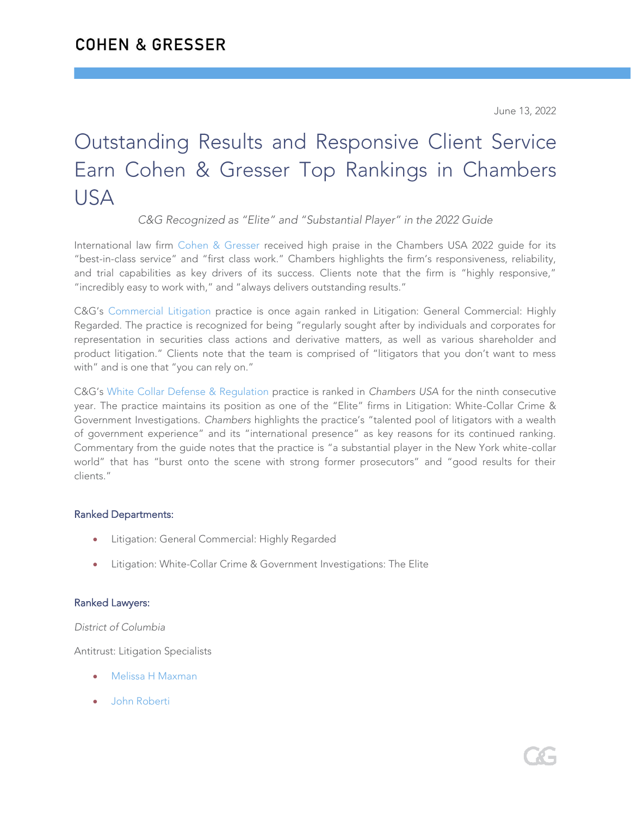June 13, 2022

# Outstanding Results and Responsive Client Service Earn Cohen & Gresser Top Rankings in Chambers **USA**

*C&G Recognized as "Elite" and "Substantial Player" in the 2022 Guide*

International law firm [Cohen & Gresser](https://www.cohengresser.com/) received high praise in the Chambers USA 2022 guide for its "best-in-class service" and "first class work." Chambers highlights the firm's responsiveness, reliability, and trial capabilities as key drivers of its success. Clients note that the firm is "highly responsive," "incredibly easy to work with," and "always delivers outstanding results."

C&G's [Commercial Litigation](https://www.cohengresser.com/practice_area/commercial-litigation/) practice is once again ranked in Litigation: General Commercial: Highly Regarded. The practice is recognized for being "regularly sought after by individuals and corporates for representation in securities class actions and derivative matters, as well as various shareholder and product litigation." Clients note that the team is comprised of "litigators that you don't want to mess with" and is one that "you can rely on."

C&G's [White Collar Defense & Regulation](https://www.cohengresser.com/practice_area/white-collar-defense/) practice is ranked in *Chambers USA* for the ninth consecutive year*.* The practice maintains its position as one of the "Elite" firms in Litigation: White-Collar Crime & Government Investigations. *Chambers* highlights the practice's "talented pool of litigators with a wealth of government experience" and its "international presence" as key reasons for its continued ranking. Commentary from the guide notes that the practice is "a substantial player in the New York white-collar world" that has "burst onto the scene with strong former prosecutors" and "good results for their clients."

## Ranked Departments:

- Litigation: General Commercial: Highly Regarded
- Litigation: White-Collar Crime & Government Investigations: The Elite

## Ranked Lawyers:

*District of Columbia*

Antitrust: Litigation Specialists

- [Melissa H Maxman](https://www.cohengresser.com/attorney/melissa-h-maxman/)
- [John Roberti](https://www.cohengresser.com/attorney/john-roberti/)